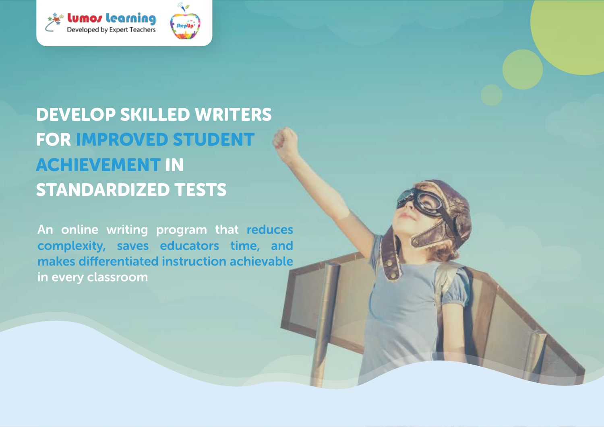

# DEVELOP SKILLED WRITERS FOR IMPROVED STUDENT ACHIEVEMENT IN STANDARDIZED TESTS

An online writing program that reduces complexity, saves educators time, and makes differentiated instruction achievable in every classroom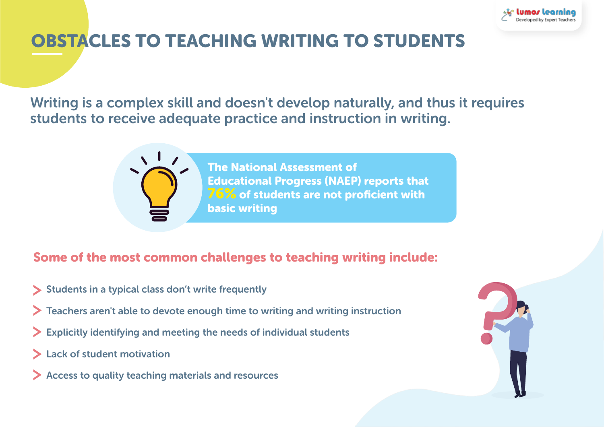

# OBSTACLES TO TEACHING WRITING TO STUDENTS

Writing is a complex skill and doesn't develop naturally, and thus it requires students to receive adequate practice and instruction in writing.

> The National Assessment of Educational Progress (NAEP) reports that **76%** of students are not proficient with basic writing

#### Some of the most common challenges to teaching writing include:

- Students in a typical class don't write frequently
- Teachers aren't able to devote enough time to writing and writing instruction
- Explicitly identifying and meeting the needs of individual students
- Lack of student motivation
- Access to quality teaching materials and resources

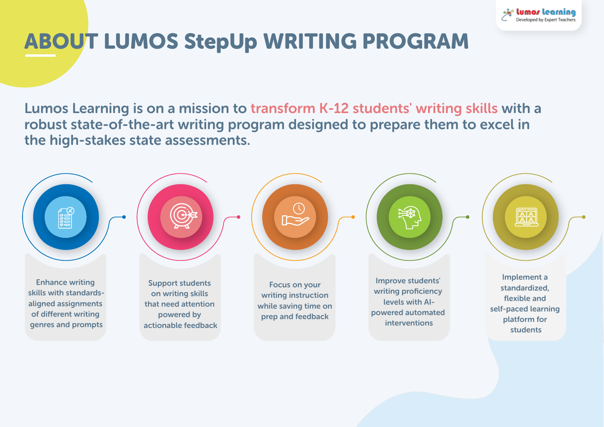

# ABOUT LUMOS StepUp WRITING PROGRAM

Lumos Learning is on a mission to transform K-12 students' writing skills with a robust state-of-the-art writing program designed to prepare them to excel in the high-stakes state assessments.

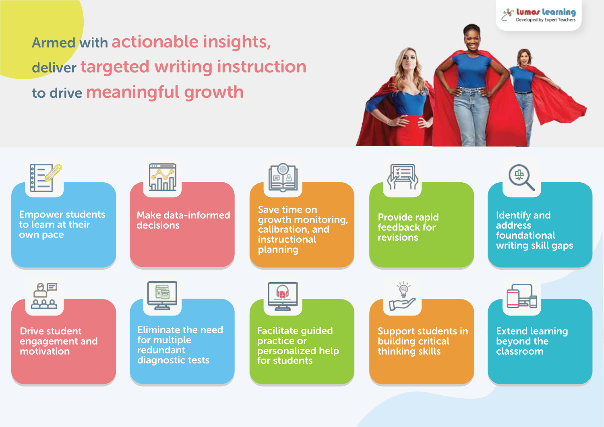Armed with actionable insights, deliver targeted writing instruction to drive meaningful growth



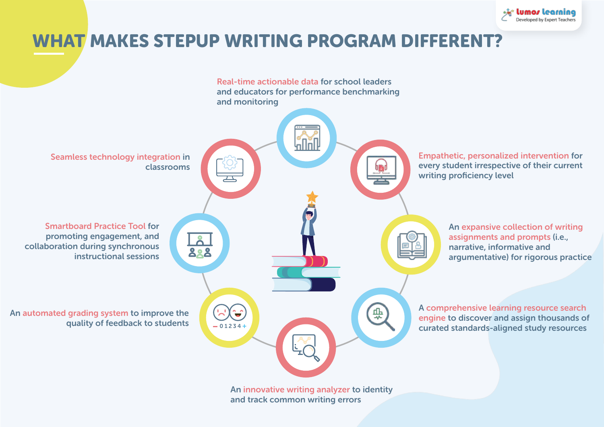

# WHAT MAKES STEPUP WRITING PROGRAM DIFFERENT?

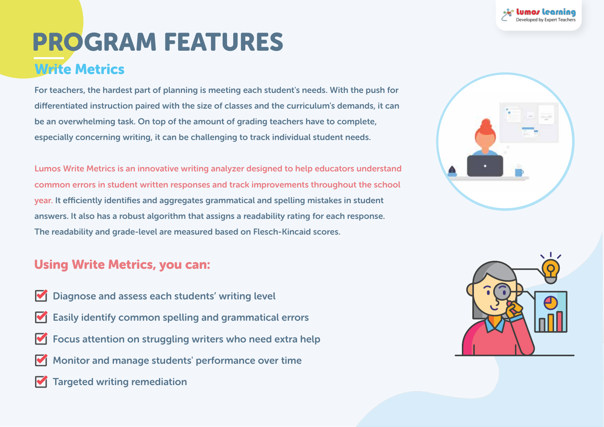# Write Metrics Write Metrics PROGRAM FEATURES

For teachers, the hardest part of planning is meeting each student's needs. With the push For teachers, the hardest part of planning is meeting each student's needs. With the push for differentiated instruction paired with the size of classes and the curriculum's demands, it can be an overwhelming task. On top of the amount of grading teachers have to complete, especially concerning writing, it can be challenging to track individual student needs.

common errors in student written responses and track improvements throughout the school year. It efficiently identifies and aggregates grammatical and spelling mistakes in student answers. It also has a robust algorithm that assigns a readability rating for each response. The readability and grade-level are measured based on Flesch-Kincaid scores. Lumos Write Metrics is an innovative writing analyzer designed to help educators understand

#### Using Write Metrics, you can:

- Diagnose and assess each students' writing level
- Easily identify common spelling and grammatical errors
- Focus attention on struggling writers who need extra help
- Monitor and manage students' performance over time and much more more more more made in the students' performance over time
- **Targeted writing remediation** and management over the control



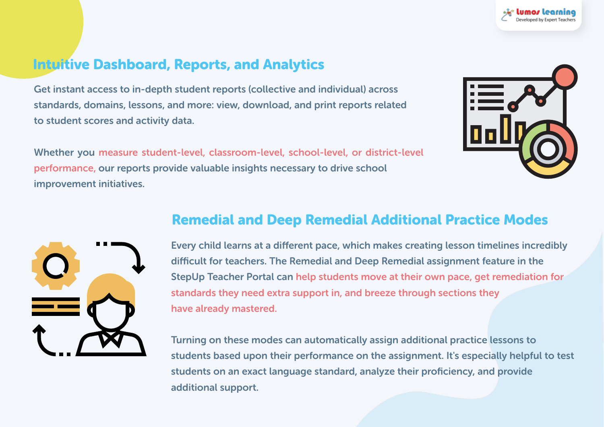# Intuitive Dashboard, Reports, and Analytics

Get instant access to in-depth student reports (collective and individual) across standards, domains, lessons, and more: view, download, and print reports related to student scores and activity data.

Whether you measure student-level, classroom-level, school-level, or district-level performance, our reports provide valuable insights necessary to drive school improvement initiatives.





### Remedial and Deep Remedial Additional Practice Modes

Every child learns at a different pace, which makes creating lesson timelines incredibly difficult for teachers. The Remedial and Deep Remedial assignment feature in the StepUp Teacher Portal can help students move at their own pace, get remediation for standards they need extra support in, and breeze through sections they have already mastered.

Turning on these modes can automatically assign additional practice lessons to students based upon their performance on the assignment. It's especially helpful to test students on an exact language standard, analyze their proficiency, and provide additional support.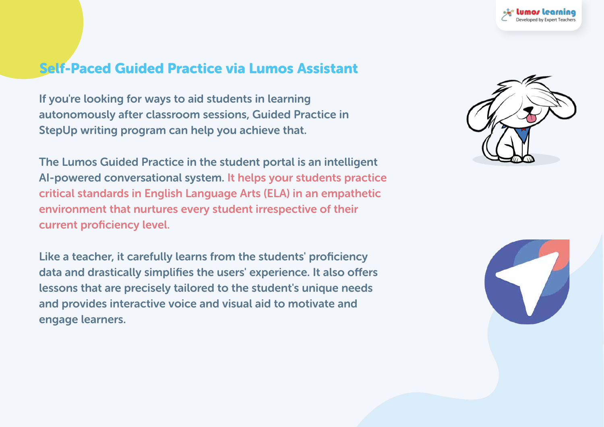# Self-Paced Guided Practice via Lumos Assistant

 $\Gamma$  $\sim$  for dierentiated instruction parameters and the size of classes and the size of  $\sim$  $\epsilon$  fan be an overwhelm the amount of the amount of the amount of  $\epsilon$ complete, especially concerning writing, it can be challenging to track individual studies of  $\mathcal{N}$ If you're looking for ways to aid students in learning autonomously after classroom sessions, Guided Practice in StepUp writing program can help you achieve that.

 $Ther$ Lumos Write Metrics Islamics Write Metrics Write Metrics Write and innovative writing and the second to help education of the second to help education of the second to help education of the second to help education of the understand common that nurture even student improvementing of their  $t$ spelling mistakes in student answers. It also has a robust algorithm that assigns a The Lumos Guided Practice in the student portal is an intelligent AI-powered conversational system. It helps your students practice critical standards in English Language Arts (ELA) in an empathetic environment that nurtures every student irrespective of their current proficiency level.

readed to a to address it carefully learne from the students' neeficiency based on Flexible schemes. engage learners. Like a teacher, it carefully learns from the students' proficiency data and drastically simplifies the users' experience. It also offers lessons that are precisely tailored to the student's unique needs and provides interactive voice and visual aid to motivate and



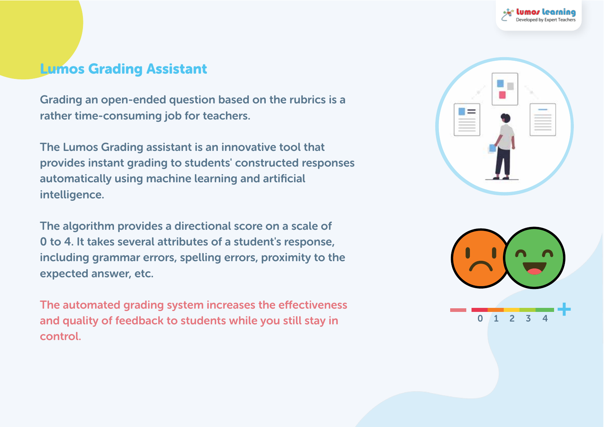### **Lumos Grading Assistant**

 $F$  teaching are an angle planning is meeting part of planning is a method of planning is a method of  $\mathbb{R}$ . for dierentiated instruction paired with the size of classes  $\mathcal{L}[\mathbf{m}]=\mathbf{0}$ it can be an overwhelming from the amount of  $\mathbb{R}^d$  . On the amount of grading teachers have to grading teachers have to  $\mathbb{R}^d$ Grading an open-ended question based on the rubrics is a rather time-consuming job for teachers.

The Lumes Cuading assistant is an inneustive tool that needs.<br>Indiana Lumontanowy world writing writing and an innovative writing and the second to help education of the state of t understand common errors in student written responses and track improvements and track improvements and track The Lumos Grading assistant is an innovative tool that provides instant grading to students' constructed responses automatically using machine learning and artificial intelligence.

the slappitters provides a directional scene and aggle of special mistakes in student and a robust and a robust algorithm that a robust algorithm that assigns a robust a robust algorithm that as a robust algorithm that as a robust algorithm that as a robust algorithm that as is a readability rating for each readability rating for each response. based on Flexibility scheme in Flexibility spectrum. The algorithm provides a directional score on a scale of 0 to 4. It takes several attributes of a student's response, including grammar errors, spelling errors, proximity to the expected answer, etc.

and quality of feedback to students while you still stay in The automated grading system increases the effectiveness control.



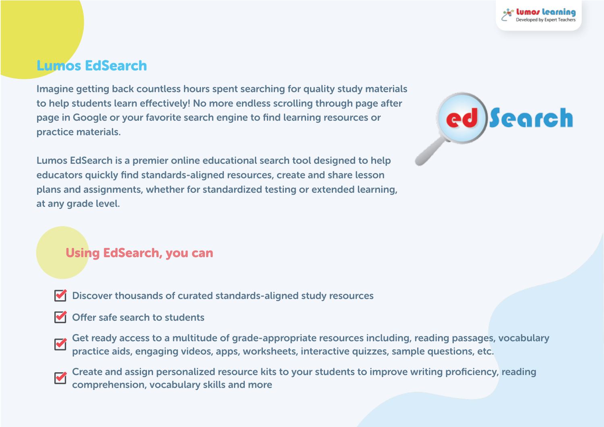## Lumos EdSearch

Imagine getting back countless hours spent searching for quality study materials to help students learn effectively! No more endless scrolling through page after page in Google or your favorite search engine to find learning resources or practice materials.

Lumos EdSearch is a premier online educational search tool designed to help educators quickly find standards-aligned resources, create and share lesson plans and assignments, whether for standardized testing or extended learning, at any grade level.



#### Using EdSearch, you can

- Discover thousands of curated standards-aligned study resources
- $\blacksquare$  Offer safe search to students
- Get ready access to a multitude of grade-appropriate resources including, reading passages, vocabulary V practice aids, engaging videos, apps, worksheets, interactive quizzes, sample questions, etc.
- Create and assign personalized resource kits to your students to improve writing proficiency, reading comprehension, vocabulary skills and more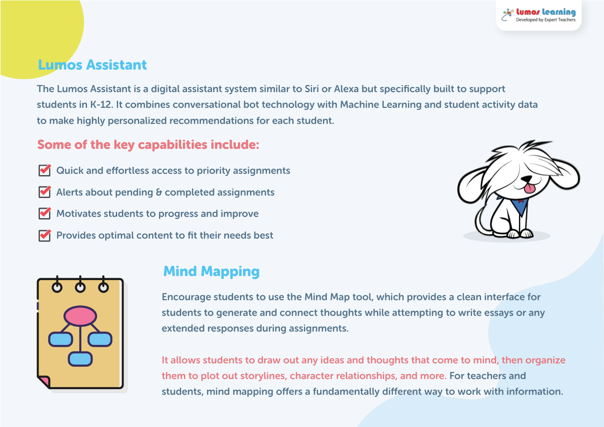# Lumos Assistant

The Lumos Assistant is a digital assistant system similar to Siri or Alexa but specifically built to support students in K-12. It combines conversational bot technology with Machine Learning and student activity data to make highly personalized recommendations for each student.

#### Some of the key capabilities include:

Quick and effortless access to priority assignments Alerts about pending & completed assignments Motivates students to progress and improve Provides optimal content to fit their needs best





## Mind Mapping

Encourage students to use the Mind Map tool, which provides a clean interface for students to generate and connect thoughts while attempting to write essays or any extended responses during assignments.

It allows students to draw out any ideas and thoughts that come to mind, then organize them to plot out storylines, character relationships, and more. For teachers and students, mind mapping offers a fundamentally different way to work with information.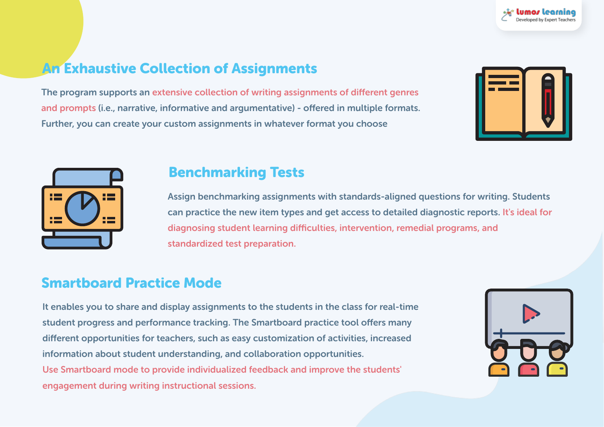# An Exhaustive Collection of Assignments

The program supports an extensive collection of writing assignments of different genres and prompts (i.e., narrative, informative and argumentative) - offered in multiple formats. Further, you can create your custom assignments in whatever format you choose





#### Benchmarking Tests

Assign benchmarking assignments with standards-aligned questions for writing. Students can practice the new item types and get access to detailed diagnostic reports. It's ideal for diagnosing student learning difficulties, intervention, remedial programs, and standardized test preparation.

### Smartboard Practice Mode

It enables you to share and display assignments to the students in the class for real-time student progress and performance tracking. The Smartboard practice tool offers many different opportunities for teachers, such as easy customization of activities, increased information about student understanding, and collaboration opportunities. Use Smartboard mode to provide individualized feedback and improve the students' engagement during writing instructional sessions.

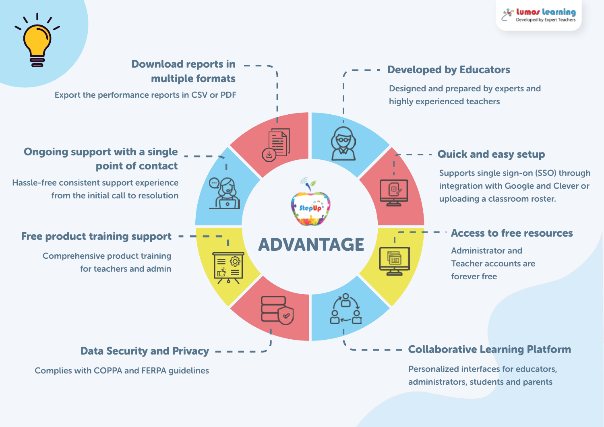





Complies with COPPA and FERPA guidelines

Personalized interfaces for educators, administrators, students and parents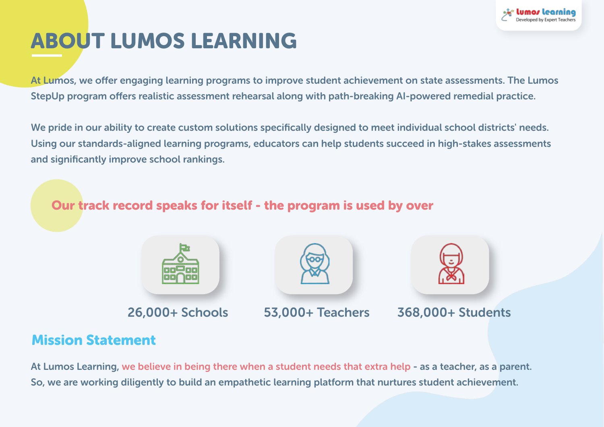

# ABOUT LUMOS LEARNING

At Lumos, we offer engaging learning programs to improve student achievement on state assessments. The Lumos StepUp program offers realistic assessment rehearsal along with path-breaking AI-powered remedial practice.

We pride in our ability to create custom solutions specifically designed to meet individual school districts' needs. Using our standards-aligned learning programs, educators can help students succeed in high-stakes assessments and significantly improve school rankings.

Our track record speaks for itself - the program is used by over







26,000+ Schools 53,000+ Teachers 368,000+ Students

### Mission Statement

At Lumos Learning, we believe in being there when a student needs that extra help - as a teacher, as a parent. So, we are working diligently to build an empathetic learning platform that nurtures student achievement.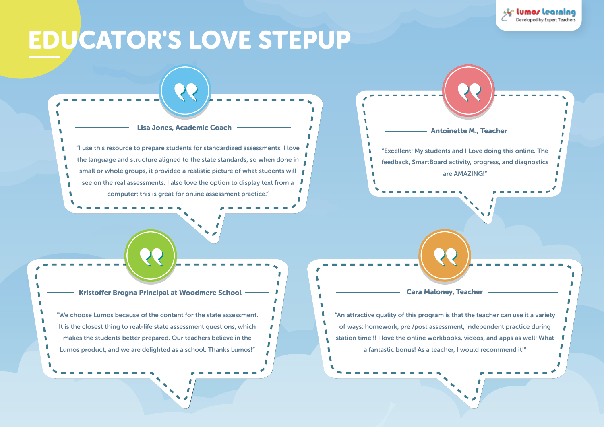# EDUCATOR'S LOVE STEPUP

"I use this resource to prepare students for standardized assessments. I love the language and structure aligned to the state standards, so when done in small or whole groups, it provided a realistic picture of what students will see on the real assessments. I also love the option to display text from a computer; this is great for online assessment practice."

Lisa Jones, Academic Coach

"We choose Lumos because of the content for the state assessment. It is the closest thing to real-life state assessment questions, which makes the students better prepared. Our teachers believe in the Lumos product, and we are delighted as a school. Thanks Lumos!"

**II** T.